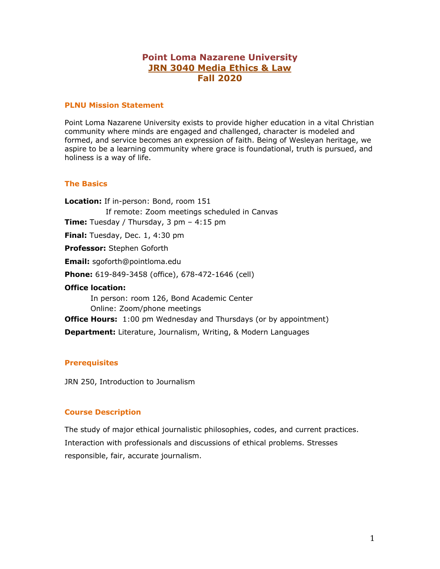# **Point Loma Nazarene University JRN 3040 Media Ethics & Law Fall 2020**

## **PLNU Mission Statement**

Point Loma Nazarene University exists to provide higher education in a vital Christian community where minds are engaged and challenged, character is modeled and formed, and service becomes an expression of faith. Being of Wesleyan heritage, we aspire to be a learning community where grace is foundational, truth is pursued, and holiness is a way of life.

#### **The Basics**

**Location:** If in-person: Bond, room 151 If remote: Zoom meetings scheduled in Canvas **Time:** Tuesday / Thursday, 3 pm – 4:15 pm **Final:** Tuesday, Dec. 1, 4:30 pm **Professor:** Stephen Goforth **Email:** sgoforth@pointloma.edu **Phone:** 619-849-3458 (office), 678-472-1646 (cell) **Office location:**  In person: room 126, Bond Academic Center Online: Zoom/phone meetings **Office Hours:** 1:00 pm Wednesday and Thursdays (or by appointment) **Department:** Literature, Journalism, Writing, & Modern Languages

#### **Prerequisites**

JRN 250, Introduction to Journalism

## **Course Description**

The study of major ethical journalistic philosophies, codes, and current practices. Interaction with professionals and discussions of ethical problems. Stresses responsible, fair, accurate journalism.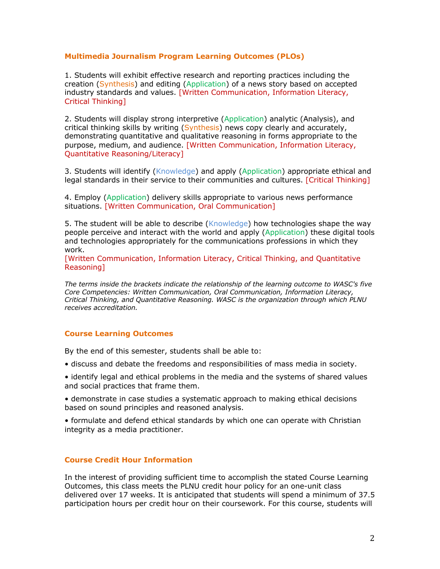## **Multimedia Journalism Program Learning Outcomes (PLOs)**

1. Students will exhibit effective research and reporting practices including the creation (Synthesis) and editing (Application) of a news story based on accepted industry standards and values. [Written Communication, Information Literacy, Critical Thinking]

2. Students will display strong interpretive (Application) analytic (Analysis), and critical thinking skills by writing (Synthesis) news copy clearly and accurately, demonstrating quantitative and qualitative reasoning in forms appropriate to the purpose, medium, and audience. [Written Communication, Information Literacy, Quantitative Reasoning/Literacy]

3. Students will identify (Knowledge) and apply (Application) appropriate ethical and legal standards in their service to their communities and cultures. [Critical Thinking]

4. Employ (Application) delivery skills appropriate to various news performance situations. [Written Communication, Oral Communication]

5. The student will be able to describe (Knowledge) how technologies shape the way people perceive and interact with the world and apply (Application) these digital tools and technologies appropriately for the communications professions in which they work.

[Written Communication, Information Literacy, Critical Thinking, and Quantitative Reasoning]

*The terms inside the brackets indicate the relationship of the learning outcome to WASC's five Core Competencies: Written Communication, Oral Communication, Information Literacy, Critical Thinking, and Quantitative Reasoning. WASC is the organization through which PLNU receives accreditation.* 

## **Course Learning Outcomes**

By the end of this semester, students shall be able to:

- discuss and debate the freedoms and responsibilities of mass media in society.
- identify legal and ethical problems in the media and the systems of shared values and social practices that frame them.
- demonstrate in case studies a systematic approach to making ethical decisions based on sound principles and reasoned analysis.
- formulate and defend ethical standards by which one can operate with Christian integrity as a media practitioner.

#### **Course Credit Hour Information**

In the interest of providing sufficient time to accomplish the stated Course Learning Outcomes, this class meets the PLNU credit hour policy for an one-unit class delivered over 17 weeks. It is anticipated that students will spend a minimum of 37.5 participation hours per credit hour on their coursework. For this course, students will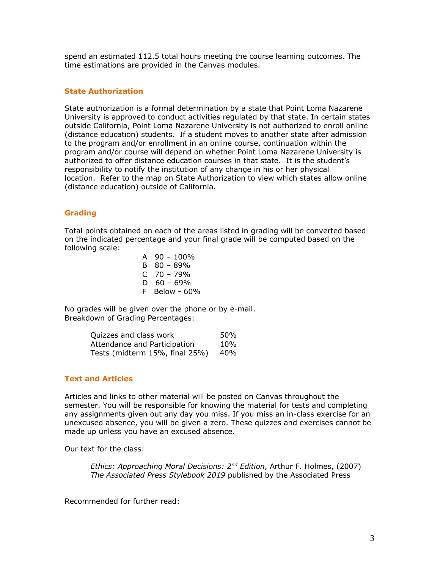spend an estimated 112.5 total hours meeting the course learning outcomes. The time estimations are provided in the Canvas modules.

## **State Authorization**

State authorization is a formal determination by a state that Point Loma Nazarene University is approved to conduct activities regulated by that state. In certain states outside California, Point Loma Nazarene University is not authorized to enroll online (distance education) students. If a student moves to another state after admission to the program and/or enrollment in an online course, continuation within the program and/or course will depend on whether Point Loma Nazarene University is authorized to offer distance education courses in that state. It is the student's responsibility to notify the institution of any change in his or her physical location. Refer to the map on State Authorization to view which states allow online (distance education) outside of California.

## **Grading**

Total points obtained on each of the areas listed in grading will be converted based on the indicated percentage and your final grade will be computed based on the following scale:

> A 90 – 100% B 80 – 89% C 70 – 79% D  $60 - 69%$ F Below - 60%

No grades will be given over the phone or by e-mail. Breakdown of Grading Percentages:

| Quizzes and class work         | 50% |
|--------------------------------|-----|
| Attendance and Participation   | 10% |
| Tests (midterm 15%, final 25%) | 40% |

## **Text and Articles**

Articles and links to other material will be posted on Canvas throughout the semester. You will be responsible for knowing the material for tests and completing any assignments given out any day you miss. If you miss an in-class exercise for an unexcused absence, you will be given a zero. These quizzes and exercises cannot be made up unless you have an excused absence.

Our text for the class:

*Ethics: Approaching Moral Decisions: 2nd Edition*, Arthur F. Holmes, (2007) *The Associated Press Stylebook 2019* published by the Associated Press

Recommended for further read: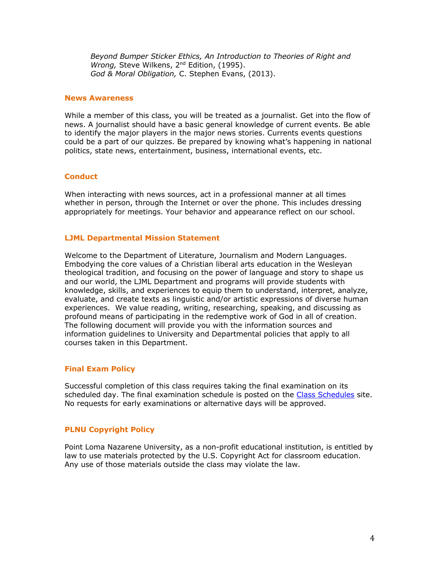*Beyond Bumper Sticker Ethics, An Introduction to Theories of Right and Wrong, Steve Wilkens, 2<sup>nd</sup> Edition, (1995). God & Moral Obligation,* C. Stephen Evans, (2013).

#### **News Awareness**

While a member of this class, you will be treated as a journalist. Get into the flow of news. A journalist should have a basic general knowledge of current events. Be able to identify the major players in the major news stories. Currents events questions could be a part of our quizzes. Be prepared by knowing what's happening in national politics, state news, entertainment, business, international events, etc.

## **Conduct**

When interacting with news sources, act in a professional manner at all times whether in person, through the Internet or over the phone. This includes dressing appropriately for meetings. Your behavior and appearance reflect on our school.

## **LJML Departmental Mission Statement**

Welcome to the Department of Literature, Journalism and Modern Languages. Embodying the core values of a Christian liberal arts education in the Wesleyan theological tradition, and focusing on the power of language and story to shape us and our world, the LJML Department and programs will provide students with knowledge, skills, and experiences to equip them to understand, interpret, analyze, evaluate, and create texts as linguistic and/or artistic expressions of diverse human experiences. We value reading, writing, researching, speaking, and discussing as profound means of participating in the redemptive work of God in all of creation. The following document will provide you with the information sources and information guidelines to University and Departmental policies that apply to all courses taken in this Department.

## **Final Exam Policy**

Successful completion of this class requires taking the final examination on its scheduled day. The final examination schedule is posted on the Class Schedules site. No requests for early examinations or alternative days will be approved.

## **PLNU Copyright Policy**

Point Loma Nazarene University, as a non-profit educational institution, is entitled by law to use materials protected by the U.S. Copyright Act for classroom education. Any use of those materials outside the class may violate the law.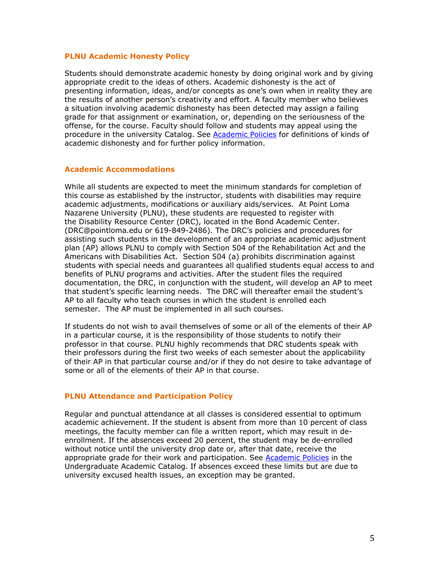#### **PLNU Academic Honesty Policy**

Students should demonstrate academic honesty by doing original work and by giving appropriate credit to the ideas of others. Academic dishonesty is the act of presenting information, ideas, and/or concepts as one's own when in reality they are the results of another person's creativity and effort. A faculty member who believes a situation involving academic dishonesty has been detected may assign a failing grade for that assignment or examination, or, depending on the seriousness of the offense, for the course. Faculty should follow and students may appeal using the procedure in the university Catalog. See Academic Policies for definitions of kinds of academic dishonesty and for further policy information.

#### **Academic Accommodations**

While all students are expected to meet the minimum standards for completion of this course as established by the instructor, students with disabilities may require academic adjustments, modifications or auxiliary aids/services. At Point Loma Nazarene University (PLNU), these students are requested to register with the Disability Resource Center (DRC), located in the Bond Academic Center. (DRC@pointloma.edu or 619-849-2486). The DRC's policies and procedures for assisting such students in the development of an appropriate academic adjustment plan (AP) allows PLNU to comply with Section 504 of the Rehabilitation Act and the Americans with Disabilities Act. Section 504 (a) prohibits discrimination against students with special needs and guarantees all qualified students equal access to and benefits of PLNU programs and activities. After the student files the required documentation, the DRC, in conjunction with the student, will develop an AP to meet that student's specific learning needs. The DRC will thereafter email the student's AP to all faculty who teach courses in which the student is enrolled each semester. The AP must be implemented in all such courses.

If students do not wish to avail themselves of some or all of the elements of their AP in a particular course, it is the responsibility of those students to notify their professor in that course. PLNU highly recommends that DRC students speak with their professors during the first two weeks of each semester about the applicability of their AP in that particular course and/or if they do not desire to take advantage of some or all of the elements of their AP in that course.

## **PLNU Attendance and Participation Policy**

Regular and punctual attendance at all classes is considered essential to optimum academic achievement. If the student is absent from more than 10 percent of class meetings, the faculty member can file a written report, which may result in deenrollment. If the absences exceed 20 percent, the student may be de-enrolled without notice until the university drop date or, after that date, receive the appropriate grade for their work and participation. See Academic Policies in the Undergraduate Academic Catalog. If absences exceed these limits but are due to university excused health issues, an exception may be granted.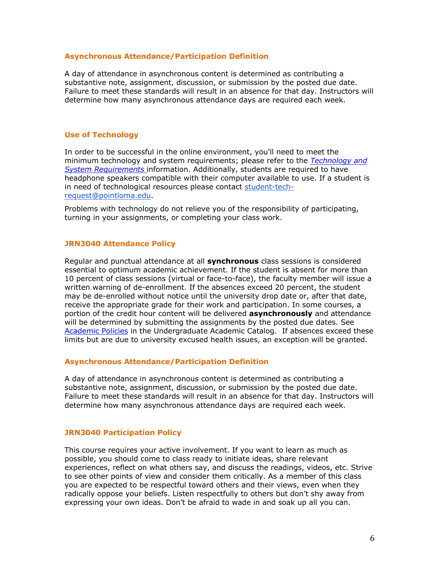#### **Asynchronous Attendance/Participation Definition**

A day of attendance in asynchronous content is determined as contributing a substantive note, assignment, discussion, or submission by the posted due date. Failure to meet these standards will result in an absence for that day. Instructors will determine how many asynchronous attendance days are required each week.

#### **Use of Technology**

In order to be successful in the online environment, you'll need to meet the minimum technology and system requirements; please refer to the *Technology and System Requirements* information. Additionally, students are required to have headphone speakers compatible with their computer available to use. If a student is in need of technological resources please contact student-techrequest@pointloma.edu.

Problems with technology do not relieve you of the responsibility of participating, turning in your assignments, or completing your class work.

#### **JRN3040 Attendance Policy**

Regular and punctual attendance at all **synchronous** class sessions is considered essential to optimum academic achievement. If the student is absent for more than 10 percent of class sessions (virtual or face-to-face), the faculty member will issue a written warning of de-enrollment. If the absences exceed 20 percent, the student may be de-enrolled without notice until the university drop date or, after that date, receive the appropriate grade for their work and participation. In some courses, a portion of the credit hour content will be delivered **asynchronously** and attendance will be determined by submitting the assignments by the posted due dates. See Academic Policies in the Undergraduate Academic Catalog. If absences exceed these limits but are due to university excused health issues, an exception will be granted.

#### **Asynchronous Attendance/Participation Definition**

A day of attendance in asynchronous content is determined as contributing a substantive note, assignment, discussion, or submission by the posted due date. Failure to meet these standards will result in an absence for that day. Instructors will determine how many asynchronous attendance days are required each week.

## **JRN3040 Participation Policy**

This course requires your active involvement. If you want to learn as much as possible, you should come to class ready to initiate ideas, share relevant experiences, reflect on what others say, and discuss the readings, videos, etc. Strive to see other points of view and consider them critically. As a member of this class you are expected to be respectful toward others and their views, even when they radically oppose your beliefs. Listen respectfully to others but don't shy away from expressing your own ideas. Don't be afraid to wade in and soak up all you can.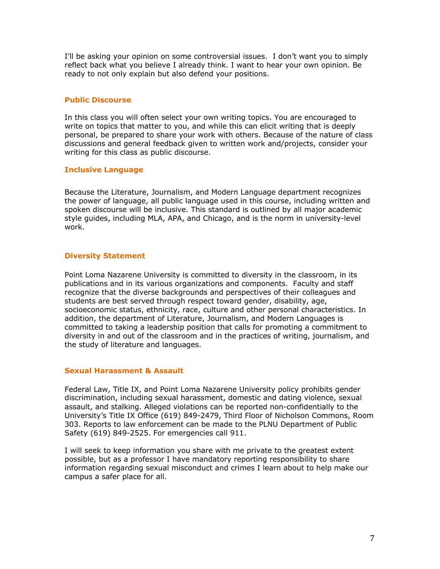I'll be asking your opinion on some controversial issues. I don't want you to simply reflect back what you believe I already think. I want to hear your own opinion. Be ready to not only explain but also defend your positions.

## **Public Discourse**

In this class you will often select your own writing topics. You are encouraged to write on topics that matter to you, and while this can elicit writing that is deeply personal, be prepared to share your work with others. Because of the nature of class discussions and general feedback given to written work and/projects, consider your writing for this class as public discourse.

## **Inclusive Language**

Because the Literature, Journalism, and Modern Language department recognizes the power of language, all public language used in this course, including written and spoken discourse will be inclusive. This standard is outlined by all major academic style guides, including MLA, APA, and Chicago, and is the norm in university-level work.

## **Diversity Statement**

Point Loma Nazarene University is committed to diversity in the classroom, in its publications and in its various organizations and components. Faculty and staff recognize that the diverse backgrounds and perspectives of their colleagues and students are best served through respect toward gender, disability, age, socioeconomic status, ethnicity, race, culture and other personal characteristics. In addition, the department of Literature, Journalism, and Modern Languages is committed to taking a leadership position that calls for promoting a commitment to diversity in and out of the classroom and in the practices of writing, journalism, and the study of literature and languages.

## **Sexual Harassment & Assault**

Federal Law, Title IX, and Point Loma Nazarene University policy prohibits gender discrimination, including sexual harassment, domestic and dating violence, sexual assault, and stalking. Alleged violations can be reported non-confidentially to the University's Title IX Office (619) 849-2479, Third Floor of Nicholson Commons, Room 303. Reports to law enforcement can be made to the PLNU Department of Public Safety (619) 849-2525. For emergencies call 911.

I will seek to keep information you share with me private to the greatest extent possible, but as a professor I have mandatory reporting responsibility to share information regarding sexual misconduct and crimes I learn about to help make our campus a safer place for all.